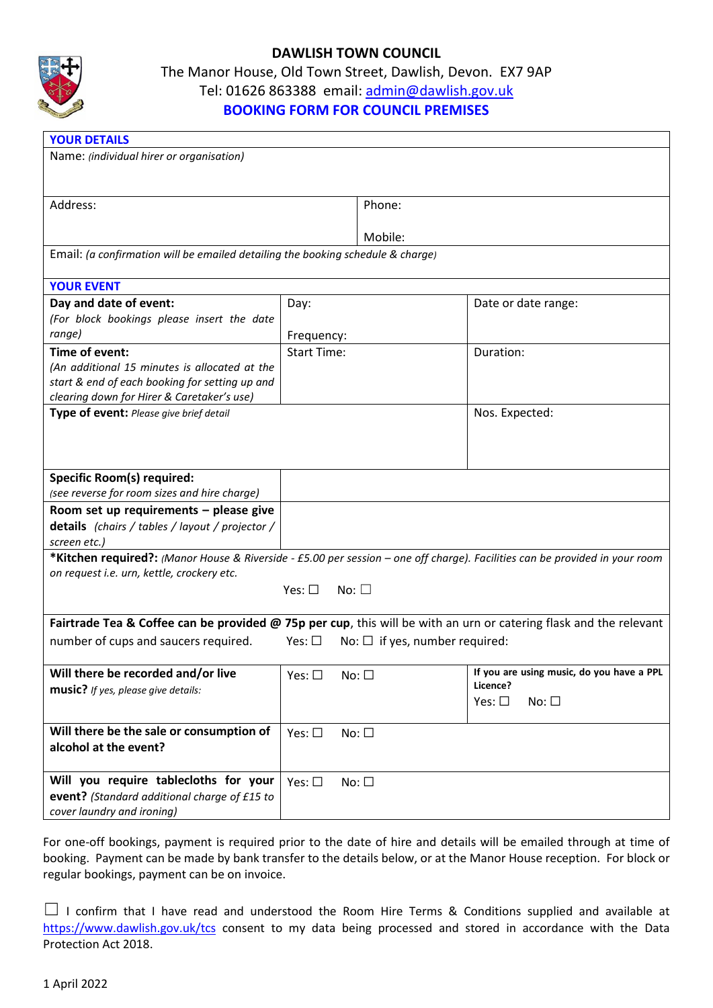

## **DAWLISH TOWN COUNCIL**

The Manor House, Old Town Street, Dawlish, Devon. EX7 9AP

Tel: 01626 863388 email: [admin@dawlish.gov.uk](mailto:admin@dawlish.gov.uk)

## **BOOKING FORM FOR COUNCIL PREMISES**

| Name: (individual hirer or organisation)<br>Address:<br>Phone:<br>Mobile:                                                   |  |  |  |  |  |
|-----------------------------------------------------------------------------------------------------------------------------|--|--|--|--|--|
|                                                                                                                             |  |  |  |  |  |
|                                                                                                                             |  |  |  |  |  |
|                                                                                                                             |  |  |  |  |  |
|                                                                                                                             |  |  |  |  |  |
|                                                                                                                             |  |  |  |  |  |
| Email: (a confirmation will be emailed detailing the booking schedule & charge)                                             |  |  |  |  |  |
|                                                                                                                             |  |  |  |  |  |
| <b>YOUR EVENT</b>                                                                                                           |  |  |  |  |  |
| Day and date of event:<br>Date or date range:<br>Day:                                                                       |  |  |  |  |  |
| (For block bookings please insert the date                                                                                  |  |  |  |  |  |
| range)<br>Frequency:                                                                                                        |  |  |  |  |  |
| <b>Start Time:</b><br>Time of event:<br>Duration:                                                                           |  |  |  |  |  |
| (An additional 15 minutes is allocated at the                                                                               |  |  |  |  |  |
| start & end of each booking for setting up and                                                                              |  |  |  |  |  |
| clearing down for Hirer & Caretaker's use)                                                                                  |  |  |  |  |  |
| Type of event: Please give brief detail<br>Nos. Expected:                                                                   |  |  |  |  |  |
|                                                                                                                             |  |  |  |  |  |
|                                                                                                                             |  |  |  |  |  |
|                                                                                                                             |  |  |  |  |  |
| <b>Specific Room(s) required:</b>                                                                                           |  |  |  |  |  |
| (see reverse for room sizes and hire charge)                                                                                |  |  |  |  |  |
| Room set up requirements - please give                                                                                      |  |  |  |  |  |
| details (chairs / tables / layout / projector /                                                                             |  |  |  |  |  |
| screen etc.)                                                                                                                |  |  |  |  |  |
| *Kitchen required?: (Manor House & Riverside - £5.00 per session - one off charge). Facilities can be provided in your room |  |  |  |  |  |
| on request i.e. urn, kettle, crockery etc.                                                                                  |  |  |  |  |  |
| Yes: $\Box$<br>$No: \Box$                                                                                                   |  |  |  |  |  |
|                                                                                                                             |  |  |  |  |  |
| Fairtrade Tea & Coffee can be provided @ 75p per cup, this will be with an urn or catering flask and the relevant           |  |  |  |  |  |
| number of cups and saucers required.<br>Yes: $\square$<br>No: $\Box$ if yes, number required:                               |  |  |  |  |  |
|                                                                                                                             |  |  |  |  |  |
| If you are using music, do you have a PPL<br>Will there be recorded and/or live<br>$No: \Box$<br>Yes: $\square$             |  |  |  |  |  |
| Licence?<br>music? If yes, please give details:                                                                             |  |  |  |  |  |
| $No: \Box$<br>Yes: $\square$                                                                                                |  |  |  |  |  |
|                                                                                                                             |  |  |  |  |  |
| Will there be the sale or consumption of<br>Yes: $\square$<br>$No: \Box$                                                    |  |  |  |  |  |
| alcohol at the event?                                                                                                       |  |  |  |  |  |
|                                                                                                                             |  |  |  |  |  |
| Will you require tablecloths for your<br>Yes: $\square$<br>No: $\square$                                                    |  |  |  |  |  |
| event? (Standard additional charge of £15 to                                                                                |  |  |  |  |  |
| cover laundry and ironing)                                                                                                  |  |  |  |  |  |

For one-off bookings, payment is required prior to the date of hire and details will be emailed through at time of booking. Payment can be made by bank transfer to the details below, or at the Manor House reception. For block or regular bookings, payment can be on invoice.

<sup>□</sup> I confirm that I have read and understood the Room Hire Terms & Conditions supplied and available at <https://www.dawlish.gov.uk/tcs> consent to my data being processed and stored in accordance with the Data Protection Act 2018.